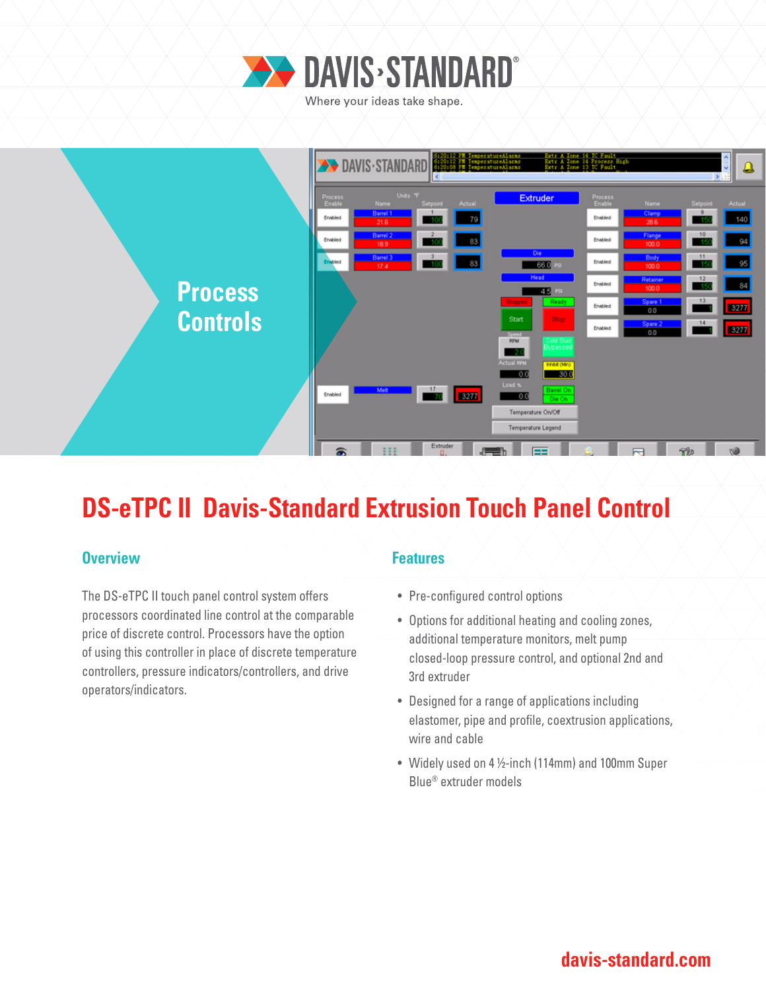

Where your ideas take shape.



# **DS-eTPC II Davis-Standard Extrusion Touch Panel Control**

### **Overview Allen Accepted Accepted Accepted Accepted Accepted Accepted Accepted Accepted Accepted Accepted Accepted**

The DS-eTPC II touch panel control system offers processors coordinated line control at the comparable price of discrete control. Processors have the option of using this controller in place of discrete temperature controllers, pressure indicators/controllers, and drive operators/indicators.

- Pre-configured control options
- Options for additional heating and cooling zones, additional temperature monitors, melt pump closed-loop pressure control, and optional 2nd and 3rd extruder
- Designed for a range of applications including elastomer, pipe and profile, coextrusion applications, wire and cable
- Widely used on 4 ½-inch (114mm) and 100mm Super Blue® extruder models

### **davis-standard.com**